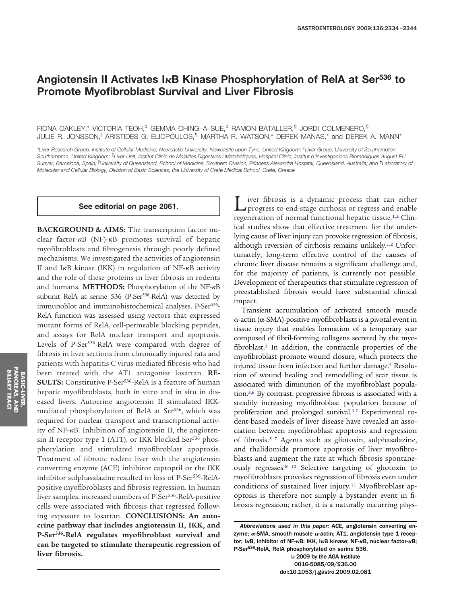# **Angiotensin II Activates IB Kinase Phosphorylation of RelA at Ser536 to Promote Myofibroblast Survival and Liver Fibrosis**

FIONA OAKLEY,\* VICTORIA TEOH,‡ GEMMA CHING–A–SUE,‡ RAMON BATALLER,§ JORDI COLMENERO,§ JULIE R. JONSSON,<sup>||</sup> ARISTIDES G. ELIOPOULOS,<sup>1</sup> MARTHA R. WATSON,\* DEREK MANAS,\* and DEREK A. MANN\*

*\*Liver Research Group, Institute of Cellular Medicine, Newcastle University, Newcastle upon Tyne, United Kingdom; ‡ Liver Group, University of Southampton,* Southampton, United Kingdom; <sup>§</sup>Liver Unit, Institut Clínic de Malalties Digestives i Metabòliques, Hospital Clínic, Institut d'Investigacions Biomèdiques August Pi i *Sunyer, Barcelona, Spain; University of Queensland, School of Medicine, Southern Division, Princess Alexandra Hospital, Queensland, Australia; and ¶ Laboratory of Molecular and Cellular Biology, Division of Basic Sciences, the University of Crete Medical School, Crete, Greece*

#### **See editorial on page 2061.**

**BACKGROUND & AIMS:** The transcription factor nuclear factor- $\kappa$ B (NF)- $\kappa$ B promotes survival of hepatic myofibroblasts and fibrogenesis through poorly defined mechanisms. We investigated the activities of angiotensin II and I $\kappa$ B kinase (IKK) in regulation of NF- $\kappa$ B activity and the role of these proteins in liver fibrosis in rodents and humans. **METHODS:** Phosphorylation of the NF-KB subunit RelA at serine 536 (P-Ser<sup>536</sup>-RelA) was detected by immunoblot and immunohistochemical analyses. P-Ser<sup>536</sup>-RelA function was assessed using vectors that expressed mutant forms of RelA, cell-permeable blocking peptides, and assays for RelA nuclear transport and apoptosis. Levels of P-Ser<sup>536</sup>-RelA were compared with degree of fibrosis in liver sections from chronically injured rats and patients with hepatitis C virus-mediated fibrosis who had been treated with the AT1 antagonist losartan. **RE-SULTS:** Constitutive P-Ser<sup>536</sup>-RelA is a feature of human hepatic myofibroblasts, both in vitro and in situ in diseased livers. Autocrine angiotensin II stimulated IKKmediated phosphorylation of RelA at Ser<sup>536</sup>, which was required for nuclear transport and transcriptional activity of NF-KB. Inhibition of angiotensin II, the angiotensin II receptor type 1 (AT1), or IKK blocked Ser<sup>536</sup> phosphorylation and stimulated myofibroblast apoptosis. Treatment of fibrotic rodent liver with the angiotensin converting enzyme (ACE) inhibitor captopril or the IKK inhibitor sulphasalazine resulted in loss of P-Ser<sup>536</sup>-RelApositive myofibroblasts and fibrosis regression. In human liver samples, increased numbers of P-Ser<sup>536</sup>-RelA-positive cells were associated with fibrosis that regressed following exposure to losartan. **CONCLUSIONS: An autocrine pathway that includes angiotensin II, IKK, and P-Ser536-RelA regulates myofibroblast survival and can be targeted to stimulate therapeutic regression of liver fibrosis.**

Liver fibrosis is a dynamic process that can either<br>progress to end-stage cirrhosis or regress and enable regeneration of normal functional hepatic tissue.1,2 Clinical studies show that effective treatment for the underlying cause of liver injury can provoke regression of fibrosis, although reversion of cirrhosis remains unlikely.1,2 Unfortunately, long-term effective control of the causes of chronic liver disease remains a significant challenge and, for the majority of patients, is currently not possible. Development of therapeutics that stimulate regression of preestablished fibrosis would have substantial clinical impact.

Transient accumulation of activated smooth muscle  $\alpha$ -actin ( $\alpha$ -SMA)-positive myofibroblasts is a pivotal event in tissue injury that enables formation of a temporary scar composed of fibril-forming collagens secreted by the myofibroblast.3 In addition, the contractile properties of the myofibroblast promote wound closure, which protects the injured tissue from infection and further damage.4 Resolution of wound healing and remodelling of scar tissue is associated with diminution of the myofibroblast population.5,6 By contrast, progressive fibrosis is associated with a steadily increasing myofibroblast population because of proliferation and prolonged survival.3,7 Experimental rodent-based models of liver disease have revealed an association between myofibroblast apoptosis and regression of fibrosis.5–7 Agents such as gliotoxin, sulphasalazine, and thalidomide promote apoptosis of liver myofibroblasts and augment the rate at which fibrosis spontaneously regresses.8 –10 Selective targeting of gliotoxin to myofibroblasts provokes regression of fibrosis even under conditions of sustained liver injury.<sup>11</sup> Myofibroblast apoptosis is therefore not simply a bystander event in fibrosis regression; rather, it is a naturally occurring phys-

© 2009 by the AGA Institute 0016-5085/09/\$36.00 doi:10.1053/j.gastro.2009.02.081

*Abbreviations used in this paper:* ACE, angiotensin converting enzyme;  $\alpha$ -SMA, smooth muscle  $\alpha$ -actin; AT1, angiotensin type 1 receptor; IKB, inhibitor of NF-KB; IKK, IKB kinase; NF-KB, nuclear factor-KB; P-Ser<sup>536</sup>-RelA, RelA phosphorylated on serine 536.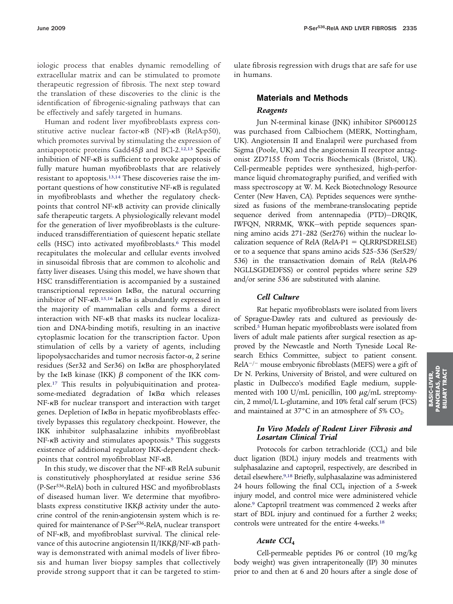iologic process that enables dynamic remodelling of extracellular matrix and can be stimulated to promote therapeutic regression of fibrosis. The next step toward the translation of these discoveries to the clinic is the identification of fibrogenic-signaling pathways that can be effectively and safely targeted in humans.

Human and rodent liver myofibroblasts express constitutive active nuclear factor- $\kappa$ B (NF)- $\kappa$ B (RelA:p50), which promotes survival by stimulating the expression of antiapoptotic proteins Gadd45 $\beta$  and BCl-2.<sup>12,13</sup> Specific inhibition of NF-KB is sufficient to provoke apoptosis of fully mature human myofibroblasts that are relatively resistant to apoptosis.13,14 These discoveries raise the important questions of how constitutive NF-KB is regulated in myofibroblasts and whether the regulatory checkpoints that control  $NF$ - $\kappa$ B activity can provide clinically safe therapeutic targets. A physiologically relevant model for the generation of liver myofibroblasts is the cultureinduced transdifferentiation of quiescent hepatic stellate cells (HSC) into activated myofibroblasts.<sup>6</sup> This model recapitulates the molecular and cellular events involved in sinusoidal fibrosis that are common to alcoholic and fatty liver diseases. Using this model, we have shown that HSC transdifferentiation is accompanied by a sustained transcriptional repression  $I\kappa B\alpha$ , the natural occurring inhibitor of NF- $\kappa$ B.<sup>15,16</sup> I $\kappa$ B $\alpha$  is abundantly expressed in the majority of mammalian cells and forms a direct interaction with  $NF-\kappa B$  that masks its nuclear localization and DNA-binding motifs, resulting in an inactive cytoplasmic location for the transcription factor. Upon stimulation of cells by a variety of agents, including lipopolysaccharides and tumor necrosis factor- $\alpha$ , 2 serine residues (Ser32 and Ser36) on I $\kappa$ B $\alpha$  are phosphorylated by the I $\kappa$ B kinase (IKK)  $\beta$  component of the IKK complex.17 This results in polyubiquitination and proteasome-mediated degradation of  $I\kappa B\alpha$  which releases NF-KB for nuclear transport and interaction with target genes. Depletion of I $\kappa$ B $\alpha$  in hepatic myofibroblasts effectively bypasses this regulatory checkpoint. However, the IKK inhibitor sulphasalazine inhibits myofibroblast  $NF-\kappa B$  activity and stimulates apoptosis.<sup>9</sup> This suggests existence of additional regulatory IKK-dependent checkpoints that control myofibroblast NF- $\kappa$ B.

In this study, we discover that the  $NF-\kappa B$  RelA subunit is constitutively phosphorylated at residue serine 536 (P-Ser536-RelA) both in cultured HSC and myofibroblasts of diseased human liver. We determine that myofibroblasts express constitutive IKK $\beta$  activity under the autocrine control of the renin-angiotensin system which is required for maintenance of P-Ser<sup>536</sup>-RelA, nuclear transport of NF- $\kappa$ B, and myofibroblast survival. The clinical relevance of this autocrine angiotensin  $II/IKK\beta/NF-\kappa B$  pathway is demonstrated with animal models of liver fibrosis and human liver biopsy samples that collectively provide strong support that it can be targeted to stimulate fibrosis regression with drugs that are safe for use in humans.

# **Materials and Methods** *Reagents*

Jun N-terminal kinase (JNK) inhibitor SP600125 was purchased from Calbiochem (MERK, Nottingham, UK). Angiotensin II and Enalapril were purchased from Sigma (Poole, UK) and the angiotensin II receptor antagonist ZD7155 from Tocris Biochemicals (Bristol, UK). Cell-permeable peptides were synthesized, high-performance liquid chromatography purified, and verified with mass spectroscopy at W. M. Keck Biotechnology Resource Center (New Haven, CA). Peptides sequences were synthesized as fusions of the membrane-translocating peptide sequence derived from antennapedia (PTD)—DRQIK, IWFQN, NRRMK, WKK—with peptide sequences spanning amino acids 271–282 (Ser276) within the nuclear localization sequence of RelA (RelA-P1  $=$  QLRRPSDRELSE) or to a sequence that spans amino acids 525–536 (Ser529/ 536) in the transactivation domain of RelA (RelA-P6 NGLLSGDEDFSS) or control peptides where serine 529 and/or serine 536 are substituted with alanine.

# *Cell Culture*

Rat hepatic myofibroblasts were isolated from livers of Sprague-Dawley rats and cultured as previously described.<sup>5</sup> Human hepatic myofibroblasts were isolated from livers of adult male patients after surgical resection as approved by the Newcastle and North Tyneside Local Research Ethics Committee, subject to patient consent. RelA<sup>-/-</sup> mouse embryonic fibroblasts (MEFS) were a gift of Dr N. Perkins, University of Bristol, and were cultured on plastic in Dulbecco's modified Eagle medium, supplemented with 100 U/mL penicillin, 100  $\mu$ g/mL streptomycin, 2 mmol/L L-glutamine, and 10% fetal calf serum (FCS) and maintained at  $37^{\circ}$ C in an atmosphere of 5% CO<sub>2</sub>.

### *In Vivo Models of Rodent Liver Fibrosis and Losartan Clinical Trial*

Protocols for carbon tetrachloride (CCl<sub>4</sub>) and bile duct ligation (BDL) injury models and treatments with sulphasalazine and captopril, respectively, are described in detail elsewhere.9,18 Briefly, sulphasalazine was administered 24 hours following the final  $CCl<sub>4</sub>$  injection of a 5-week injury model, and control mice were administered vehicle alone.9 Captopril treatment was commenced 2 weeks after start of BDL injury and continued for a further 2 weeks; controls were untreated for the entire 4-weeks.<sup>18</sup>

#### *Acute CCl***<sup>4</sup>**

Cell-permeable peptides P6 or control (10 mg/kg body weight) was given intraperitoneally (IP) 30 minutes prior to and then at 6 and 20 hours after a single dose of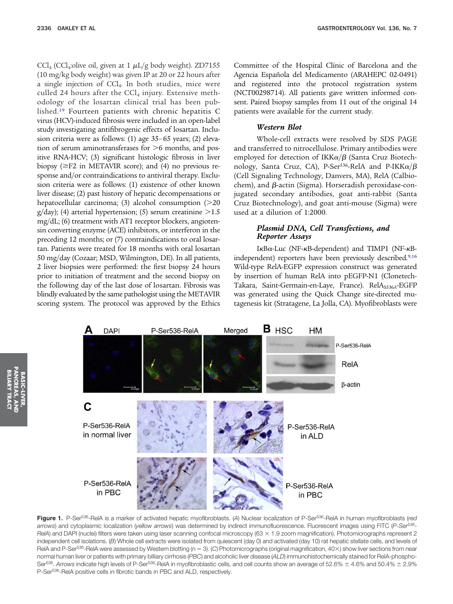CCl<sub>4</sub> (CCl<sub>4</sub>:olive oil, given at 1  $\mu$ L/g body weight). ZD7155 (10 mg/kg body weight) was given IP at 20 or 22 hours after a single injection of CCl4. In both studies, mice were culled 24 hours after the  $CCl<sub>4</sub>$  injury. Extensive methodology of the losartan clinical trial has been published.19 Fourteen patients with chronic hepatitis C virus (HCV)-induced fibrosis were included in an open-label study investigating antifibrogenic effects of losartan. Inclusion criteria were as follows: (1) age 35–65 years; (2) elevation of serum aminotransferases for  $>6$  months, and positive RNA-HCV; (3) significant histologic fibrosis in liver biopsy ( $\geq$ F2 in METAVIR score); and (4) no previous response and/or contraindications to antiviral therapy. Exclusion criteria were as follows: (1) existence of other known liver disease; (2) past history of hepatic decompensations or hepatocellular carcinoma; (3) alcohol consumption  $(>=20$  $g/day$ ; (4) arterial hypertension; (5) serum creatinine  $>1.5$ mg/dL; (6) treatment with AT1 receptor blockers, angiotensin converting enzyme (ACE) inhibitors, or interferon in the preceding 12 months; or (7) contraindications to oral losartan. Patients were treated for 18 months with oral losartan 50 mg/day (Cozaar; MSD, Wilmington, DE). In all patients, 2 liver biopsies were performed: the first biopsy 24 hours prior to initiation of treatment and the second biopsy on the following day of the last dose of losartan. Fibrosis was blindly evaluated by the same pathologist using the METAVIR scoring system. The protocol was approved by the Ethics

Committee of the Hospital Clínic of Barcelona and the Agencia Española del Medicamento (ARAHEPC 02-0491) and registered into the protocol registration system (NCT00298714). All patients gave written informed consent. Paired biopsy samples from 11 out of the original 14 patients were available for the current study.

### *Western Blot*

Whole-cell extracts were resolved by SDS PAGE and transferred to nitrocellulose. Primary antibodies were employed for detection of IKK $\alpha/\beta$  (Santa Cruz Biotechnology, Santa Cruz, CA), P-Ser $^{536}$ -RelA and P-IKK $\alpha/\beta$ (Cell Signaling Technology, Danvers, MA), RelA (Calbiochem), and  $\beta$ -actin (Sigma). Horseradish peroxidase-conjugated secondary antibodies, goat anti-rabbit (Santa Cruz Biotechnology), and goat anti-mouse (Sigma) were used at a dilution of 1:2000.

# *Plasmid DNA, Cell Transfections, and Reporter Assays*

IkBa-Luc (NF-kB-dependent) and TIMP1 (NF-kBindependent) reporters have been previously described.9,16 Wild-type RelA-EGFP expression construct was generated by insertion of human RelA into pEGFP-N1 (Clonetech-Takara, Saint-Germain-en-Laye, France). RelA<sub>S536A</sub>-EGFP was generated using the Quick Change site-directed mutagenesis kit (Stratagene, La Jolla, CA). Myofibroblasts were



**Figure 1.** P-Ser536-RelA is a marker of activated hepatic myofibroblasts. (*A*) Nuclear localization of P-Ser536-RelA in human myofibroblasts (*red arrows*) and cytoplasmic localization (*yellow arrows*) was determined by indirect immunofluorescence. Fluorescent images using FITC (*P-Ser536- RelA*) and DAPI (nuclei) filters were taken using laser scanning confocal microscopy (63  $\times$  1.9 zoom magnification). Photomicrographs represent 2 independent cell isolations. (*B*) Whole cell extracts were isolated from quiescent (day 0) and activated (day 10) rat hepatic stellate cells, and levels of RelA and P-Ser<sup>536</sup>-RelA were assessed by Western blotting (n = 3). (C) Photomicrographs (original magnification, 40×) show liver sections from near normal human liver or patients with primary billiary cirrhosis (*PBC*) and alcoholic liver disease (*ALD*) immunohistochemically stained for RelA-phospho-Ser<sup>536</sup>. Arrows indicate high levels of P-Ser<sup>536</sup>-RelA in myofibroblastic cells, and cell counts show an average of 52.6%  $\pm$  4.6% and 50.4%  $\pm$  2.9% P-Ser<sup>536</sup>-RelA positive cells in fibrotic bands in PBC and ALD, respectively.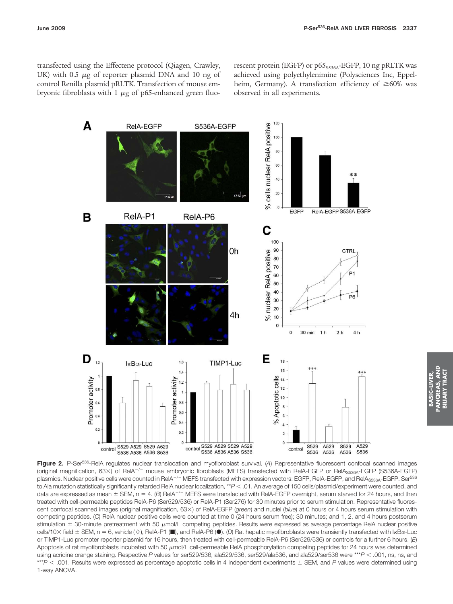transfected using the Effectene protocol (Qiagen, Crawley, UK) with 0.5  $\mu$ g of reporter plasmid DNA and 10 ng of control Renilla plasmid pRLTK. Transfection of mouse embryonic fibroblasts with 1  $\mu$ g of p65-enhanced green fluorescent protein (EGFP) or  $p65<sub>S536A</sub>$ -EGFP, 10 ng pRLTK was achieved using polyethylenimine (Polysciences Inc, Eppelheim, Germany). A transfection efficiency of  $\geq 60\%$  was observed in all experiments.



**Figure 2.** P-Ser536-RelA regulates nuclear translocation and myofibroblast survival. (*A*) Representative fluorescent confocal scanned images (original magnification, 63×) of RelA<sup>-/-</sup> mouse embryonic fibroblasts (MEFS) transfected with RelA-EGFP or RelA<sub>S536A</sub>-EGFP (S536A-EGFP) plasmids. Nuclear positive cells were counted in RelA<sup>–/–</sup> MEFS transfected with expression vectors: EGFP, RelA-EGFP, and RelA<sub>S536A</sub>-EGFP. Ser<sup>536</sup> to Ala mutation statistically significantly retarded RelA nuclear localization, \*\* $P < .01$ . An average of 150 cells/plasmid/experiment were counted, and data are expressed as mean  $\pm$  SEM, n = 4. (B) ReIA<sup>-/-</sup> MEFS were transfected with ReIA-EGFP overnight, serum starved for 24 hours, and then treated with cell-permeable peptides RelA-P6 (Ser529/536) or RelA-P1 (Ser276) for 30 minutes prior to serum stimulation. Representative fluorescent confocal scanned images (original magnification, 63×) of ReIA-EGFP (*green*) and nuclei (*blue*) at 0 hours or 4 hours serum stimulation with competing peptides. (*C*) RelA nuclear positive cells were counted at time 0 (24 hours serum free); 30 minutes; and 1, 2, and 4 hours postserum stimulation  $\pm$  30-minute pretreatment with 50  $\mu$ mol/L competing peptides. Results were expressed as average percentage ReIA nuclear positive cells/10× field ± SEM, n = 6, vehicle (◊), RelA-P1 (■), and RelA-P6 (●). (*D*) Rat hepatic myofibroblasts were transiently transfected with I<sub>K</sub>Ba-Luc or TIMP1-Luc promoter reporter plasmid for 16 hours, then treated with cell-permeable RelA-P6 (Ser529/536) or controls for a further 6 hours. (*E*) Apoptosis of rat myofibroblasts incubated with 50  $\mu$ mol/L cell-permeable RelA phosphorylation competing peptides for 24 hours was determined using acridine orange staining. Respective *P* values for ser529/536, ala529/536, ser529/ala536, and ala529/ser536 were \*\*\**P* .001, ns, ns, and \*\*\**P* < .001. Results were expressed as percentage apoptotic cells in 4 independent experiments  $\pm$  SEM, and *P* values were determined using 1-way ANOVA.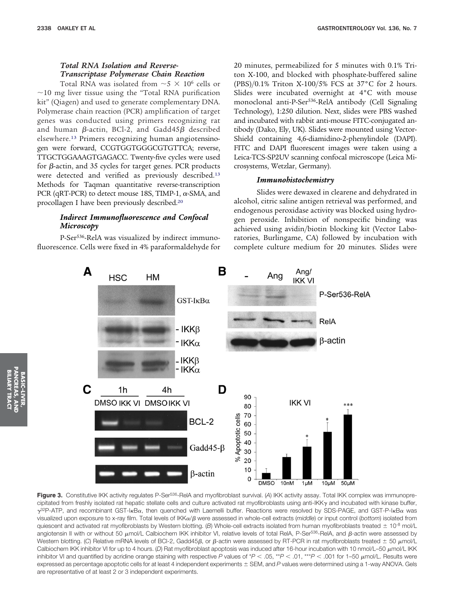# *Total RNA Isolation and Reverse-Transcriptase Polymerase Chain Reaction*

Total RNA was isolated from  $\sim$  5  $\times$  10<sup>6</sup> cells or  $\sim$ 10 mg liver tissue using the "Total RNA purification kit" (Qiagen) and used to generate complementary DNA. Polymerase chain reaction (PCR) amplification of target genes was conducted using primers recognizing rat and human  $\beta$ -actin, BCl-2, and Gadd45 $\beta$  described elsewhere.13 Primers recognizing human angiotensinogen were forward, CCGTGGTGGGCGTGTTCA; reverse, TTGCTGGAAAGTGAGACC. Twenty-five cycles were used for  $\beta$ -actin, and 35 cycles for target genes. PCR products were detected and verified as previously described.13 Methods for Taqman quantitative reverse-transcription PCR (qRT-PCR) to detect mouse 18S, TIMP-1,  $\alpha$ -SMA, and procollagen I have been previously described.20

# *Indirect Immunofluorescence and Confocal Microscopy*

P-Ser<sup>536</sup>-RelA was visualized by indirect immunofluorescence. Cells were fixed in 4% paraformaldehyde for 20 minutes, permeabilized for 5 minutes with 0.1% Triton X-100, and blocked with phosphate-buffered saline (PBS)/0.1% Triton X-100/5% FCS at 37°C for 2 hours. Slides were incubated overnight at 4°C with mouse monoclonal anti-P-Ser<sup>536</sup>-RelA antibody (Cell Signaling Technology), 1:250 dilution. Next, slides were PBS washed and incubated with rabbit anti-mouse FITC-conjugated antibody (Dako, Ely, UK). Slides were mounted using Vector-Shield containing 4,6-diamidino-2-phenylindole (DAPI). FITC and DAPI fluorescent images were taken using a Leica-TCS-SP2UV scanning confocal microscope (Leica Microsystems, Wetzlar, Germany).

# *Immunohistochemistry*

Slides were dewaxed in clearene and dehydrated in alcohol, citric saline antigen retrieval was performed, and endogenous peroxidase activity was blocked using hydrogen peroxide. Inhibition of nonspecific binding was achieved using avidin/biotin blocking kit (Vector Laboratories, Burlingame, CA) followed by incubation with complete culture medium for 20 minutes. Slides were



**Figure 3.** Constitutive IKK activity regulates P-Ser536-RelA and myofibroblast survival. (*A*) IKK activity assay. Total IKK complex was immunoprecipitated from freshly isolated rat hepatic stellate cells and culture activated rat myofibroblasts using anti-IKK $\gamma$  and incubated with kinase buffer,  $\gamma^{32}$ P-ATP, and recombinant GST-I<sub>K</sub>B<sub>a</sub>, then quenched with Laemelli buffer. Reactions were resolved by SDS-PAGE, and GST-P-I<sub>K</sub>B<sub>a</sub> was visualized upon exposure to x-ray film. Total levels of IKKα/β were assessed in whole-cell extracts (*middle*) or input control (bottom) isolated from quiescent and activated rat myofibroblasts by Western blotting. (B) Whole-cell extracts isolated from human myofibroblasts treated  $\pm$  10<sup>-8</sup> mol/L angiotensin II with or without 50  $\mu$ mol/L Calbiochem IKK inhibitor VI, relative levels of total ReIA, P-Ser<sup>536</sup>-ReIA, and  $\beta$ -actin were assessed by Western blotting. (C) Relative mRNA levels of BCl-2, Gadd45 $\beta$ , or  $\beta$ -actin were assessed by RT-PCR in rat myofibroblasts treated  $\pm$  50  $\mu$ mol/L Calbiochem IKK inhibitor VI for up to 4 hours. (D) Rat myofibroblast apoptosis was induced after 16-hour incubation with 10 nmol/L–50  $\mu$ mol/L IKK inhibitor VI and quantified by acridine orange staining with respective P values of  $*P < .05$ ,  $*P < .01$ ,  $**P < .001$  for 1–50  $\mu$ mol/L. Results were expressed as percentage apoptotic cells for at least 4 independent experiments SEM, and *P* values were determined using a 1-way ANOVA. Gels are representative of at least 2 or 3 independent experiments.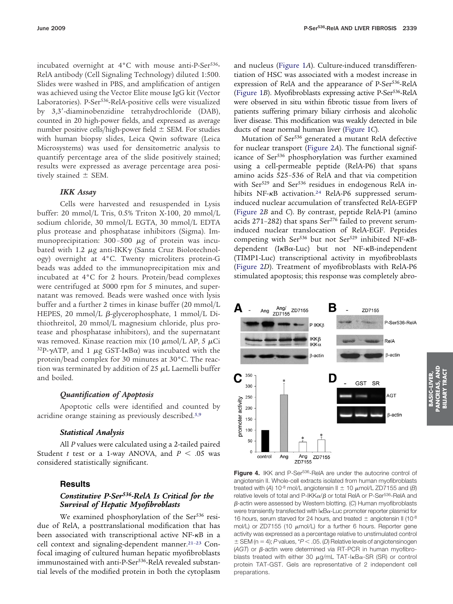incubated overnight at  $4^{\circ}$ C with mouse anti-P-Ser<sup>536</sup>-RelA antibody (Cell Signaling Technology) diluted 1:500. Slides were washed in PBS, and amplification of antigen was achieved using the Vector Elite mouse IgG kit (Vector Laboratories). P-Ser<sup>536</sup>-RelA-positive cells were visualized by 3,3'-diaminobenzidine tetrahydrochloride (DAB), counted in 20 high-power fields, and expressed as average number positive cells/high-power field  $\pm$  SEM. For studies with human biopsy slides, Leica Qwin software (Leica Microsystems) was used for densitometric analysis to quantify percentage area of the slide positively stained; results were expressed as average percentage area positively stained  $\pm$  SEM.

# *IKK Assay*

Cells were harvested and resuspended in Lysis buffer: 20 mmol/L Tris, 0.5% Triton X-100, 20 mmol/L sodium chloride, 30 mmol/L EGTA, 30 mmol/L EDTA plus protease and phosphatase inhibitors (Sigma). Immunoprecipitation:  $300 - 500 \mu g$  of protein was incubated with 1.2  $\mu$ g anti-IKK $\gamma$  (Santa Cruz Biolotechnology) overnight at 4°C. Twenty microliters protein-G beads was added to the immunoprecipitation mix and incubated at 4°C for 2 hours. Protein/bead complexes were centrifuged at 5000 rpm for 5 minutes, and supernatant was removed. Beads were washed once with lysis buffer and a further 2 times in kinase buffer (20 mmol/L HEPES, 20 mmol/L  $\beta$ -glycerophosphate, 1 mmol/L Dithiothreitol, 20 mmol/L magnesium chloride, plus protease and phosphatase inhibitors), and the supernatant was removed. Kinase reaction mix (10  $\mu$ mol/L AP, 5  $\mu$ Ci  $32P$ - $\gamma$ ATP, and 1  $\mu$ g GST-I $\kappa$ B $\alpha$ ) was incubated with the protein/bead complex for 30 minutes at 30°C. The reaction was terminated by addition of  $25 \mu L$  Laemelli buffer and boiled.

### *Quantification of Apoptosis*

Apoptotic cells were identified and counted by acridine orange staining as previously described.5,9

#### *Statistical Analysis*

All *P* values were calculated using a 2-tailed paired Student *t* test or a 1-way ANOVA, and  $P < .05$  was considered statistically significant.

# **Results**

# *Constitutive P-Ser536-RelA Is Critical for the Survival of Hepatic Myofibroblasts*

We examined phosphorylation of the Ser<sup>536</sup> residue of RelA, a posttranslational modification that has been associated with transcriptional active NF-KB in a cell context and signaling-dependent manner.21–23 Confocal imaging of cultured human hepatic myofibroblasts immunostained with anti-P-Ser<sup>536</sup>-RelA revealed substantial levels of the modified protein in both the cytoplasm

and nucleus (Figure 1*A*). Culture-induced transdifferentiation of HSC was associated with a modest increase in expression of RelA and the appearance of P-Ser<sup>536</sup>-RelA (Figure 1*B*). Myofibroblasts expressing active P-Ser536-RelA were observed in situ within fibrotic tissue from livers of patients suffering primary biliary cirrhosis and alcoholic liver disease. This modification was weakly detected in bile ducts of near normal human liver (Figure 1*C*).

Mutation of Ser536 generated a mutant RelA defective for nuclear transport (Figure 2*A*). The functional significance of Ser<sup>536</sup> phosphorylation was further examined using a cell-permeable peptide (RelA-P6) that spans amino acids 525–536 of RelA and that via competition with Ser<sup>529</sup> and Ser<sup>536</sup> residues in endogenous RelA inhibits NF-KB activation.<sup>24</sup> RelA-P6 suppressed seruminduced nuclear accumulation of transfected RelA-EGFP (Figure 2*B* and *C*). By contrast, peptide RelA-P1 (amino acids 271-282) that spans Ser<sup>276</sup> failed to prevent seruminduced nuclear translocation of RelA-EGF. Peptides competing with Ser<sup>536</sup> but not Ser<sup>529</sup> inhibited NF- $\kappa$ Bdependent (IKBa-Luc) but not NF-KB-independent (TIMP1-Luc) transcriptional activity in myofibroblasts (Figure 2*D*). Treatment of myofibroblasts with RelA-P6 stimulated apoptosis; this response was completely abro-



Figure 4. IKK and P-Ser<sup>536</sup>-ReIA are under the autocrine control of angiotensin II. Whole-cell extracts isolated from human myofibroblasts treated with (A) 10<sup>-8</sup> mol/L angiotensin II  $\pm$  10  $\mu$ mol/L ZD7155 and (B) relative levels of total and P-IKK $\alpha/\beta$  or total ReIA or P-Ser $^{536}$ -ReIA and -actin were assessed by Western blotting. (*C*) Human myofibroblasts were transiently transfected with  $k$ B $\alpha$ -Luc promoter reporter plasmid for 16 hours, serum starved for 24 hours, and treated  $\pm$  angiotensin II (10<sup>-8</sup> mol/L) or ZD7155 (10  $\mu$ mol/L) for a further 6 hours. Reporter gene activity was expressed as a percentage relative to unstimulated control  $\pm$  SEM (n = 4); *P* values,  $*P < .05$ . (*D*) Relative levels of angiotensinogen  $(AGT)$  or  $\beta$ -actin were determined via RT-PCR in human myofibroblasts treated with either 30  $\mu$ g/mL TAT-I $\kappa$ B $\alpha$ -SR (SR) or control protein TAT-GST. Gels are representative of 2 independent cell preparations.

RASIC-IV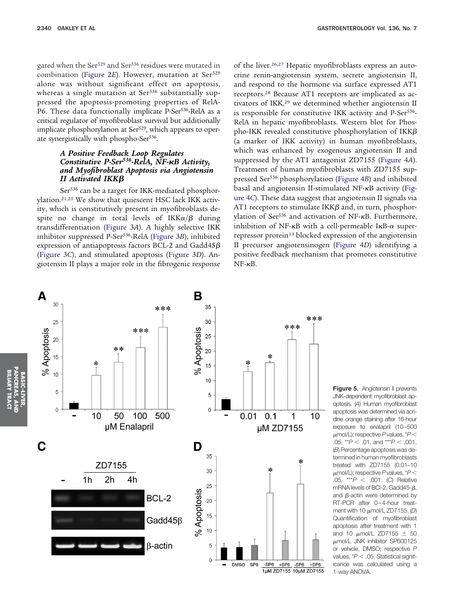gated when the Ser<sup>529</sup> and Ser<sup>536</sup> residues were mutated in combination (Figure 2E). However, mutation at Ser<sup>529</sup> alone was without significant effect on apoptosis, whereas a single mutation at Ser<sup>536</sup> substantially suppressed the apoptosis-promoting properties of RelA-P6. These data functionally implicate P-Ser<sup>536</sup>-RelA as a critical regulator of myofibroblast survival but additionally implicate phosphorylation at Ser<sup>529</sup>, which appears to operate synergistically with phospho-Ser<sup>536</sup>.

# *A Positive Feedback Loop Regulates Constitutive P-Ser536-RelA, NF-B Activity, and Myofibroblast Apoptosis via Angiotensin II Activated IKK*

Ser<sup>536</sup> can be a target for IKK-mediated phosphorylation.21,25 We show that quiescent HSC lack IKK activity, which is constitutively present in myofibroblasts despite no change in total levels of IKK $\alpha/\beta$  during transdifferentiation (Figure 3*A*). A highly selective IKK inhibitor suppressed P-Ser536-RelA (Figure 3*B*), inhibited expression of antiapoptosis factors BCL-2 and Gadd45 $\beta$ (Figure 3*C*), and stimulated apoptosis (Figure 3*D*). Angiotensin II plays a major role in the fibrogenic response of the liver.<sup>26,27</sup> Hepatic myofibroblasts express an autocrine renin-angiotensin system, secrete angiotensin II, and respond to the hormone via surface expressed AT1 receptors.28 Because AT1 receptors are implicated as activators of IKK,<sup>29</sup> we determined whether angiotensin II is responsible for constitutive IKK activity and P-Ser<sup>536</sup>-RelA in hepatic myofibroblasts. Western blot for Phospho-IKK revealed constitutive phosphorylation of IKK $\beta$ (a marker of IKK activity) in human myofibroblasts, which was enhanced by exogenous angiotensin II and suppressed by the AT1 antagonist ZD7155 (Figure 4*A*). Treatment of human myofibroblasts with ZD7155 suppressed Ser536 phosphorylation (Figure 4*B*) and inhibited basal and angiotensin II-stimulated NF-KB activity (Figure 4*C*). These data suggest that angiotensin II signals via AT1 receptors to stimulate IKK $\beta$  and, in turn, phosphorylation of Ser<sup>536</sup> and activation of NF-KB. Furthermore, inhibition of NF- $\kappa$ B with a cell-permeable I $\kappa$ B- $\alpha$  superrepressor protein<sup>13</sup> blocked expression of the angiotensin II precursor angiotensinogen (Figure 4*D*) identifying a positive feedback mechanism that promotes constitutive  $NF-\kappa B$ .



**Figure 5.** Angiotensin II prevents JNK-dependent myofibroblast apoptosis. (*A*) Human myofibroblast apoptosis was determined via acridine orange staining after 16-hour exposure to enalapril (10–500  $\mu$ mol/L); respective P values, \* $P$  < .05,  $*P < .01$ , and  $*P < .001$ . (*B*) Percentage apoptosis was determined in human myofibroblasts treated with ZD7155 (0.01–10 mol/L); respective*P*values, \**P* .05, \*\*\**P* .001. (*C*) Relative mRNA levels of BCI-2, Gadd45- $\beta$ , and  $\beta$ -actin were determined by RT-PCR after 0–4-hour treatment with 10 mol/L ZD7155. (*D*) Quantification of myofibroblast apoptosis after treatment with 1 and 10  $\mu$ mol/L ZD7155  $\pm$  50 mol/L JNK inhibitor SP600125 or vehicle, DMSO; respective *P* values,  $*P < .05$ . Statistical significance was calculated using a 1-way ANOVA.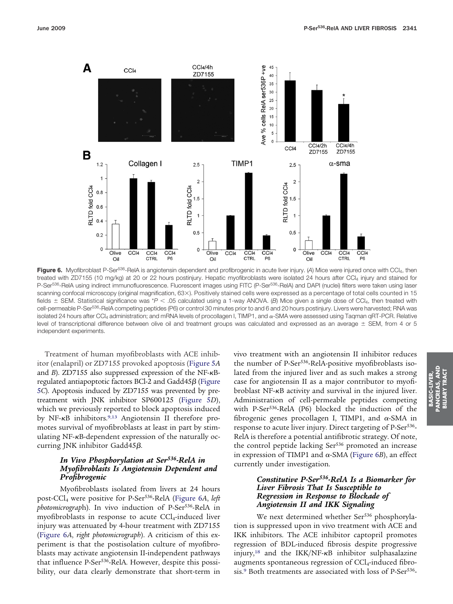

Figure 6. Myofibroblast P-Ser<sup>536</sup>-RelA is angiotensin dependent and profibrogenic in acute liver injury. (A) Mice were injured once with CCl<sub>4</sub>, then treated with ZD7155 (10 mg/kg) at 20 or 22 hours postinjury. Hepatic myofibroblasts were isolated 24 hours after CCl<sub>4</sub> injury and stained for P-Ser<sup>536</sup>-RelA using indirect immunofluorescence. Fluorescent images using FITC (P-Ser<sup>536</sup>-RelA) and DAPI (nuclei) filters were taken using laser scanning confocal microscopy (original magnification, 63×). Positively stained cells were expressed as a percentage of total cells counted in 15 fields  $\pm$  SEM. Statistical significance was \*P < .05 calculated using a 1-way ANOVA. (B) Mice given a single dose of CCl<sub>4</sub>, then treated with cell-permeable P-Ser<sup>536</sup>-RelA competing peptides (P6) or control 30 minutes prior to and 6 and 20 hours postinjury. Livers were harvested; RNA was isolated 24 hours after CCl<sub>4</sub> administration; and mRNA levels of procollagen I, TIMP1, and  $\alpha$ -SMA were assessed using Taqman qRT-PCR. Relative level of transcriptional difference between olive oil and treatment groups was calculated and expressed as an average ± SEM, from 4 or 5 independent experiments.

Treatment of human myofibroblasts with ACE inhibitor (enalapril) or ZD7155 provoked apoptosis (Figure 5*A* and *B*). ZD7155 also suppressed expression of the NF- $\kappa$ Bregulated antiapoptotic factors BCl-2 and Gadd45 $\beta$  (Figure 5*C*). Apoptosis induced by ZD7155 was prevented by pretreatment with JNK inhibitor SP600125 (Figure 5*D*), which we previously reported to block apoptosis induced by NF- $\kappa$ B inhibitors.<sup>9,13</sup> Angiotensin II therefore promotes survival of myofibroblasts at least in part by stimulating  $NF$ - $\kappa$ B-dependent expression of the naturally occurring JNK inhibitor Gadd $45\beta$ .

# *In Vivo Phosphorylation at Ser536-RelA in Myofibroblasts Is Angiotensin Dependent and Profibrogenic*

Myofibroblasts isolated from livers at 24 hours post-CCl4 were positive for P-Ser536-RelA (Figure 6*A*, *left photomicrograph*). In vivo induction of P-Ser<sup>536</sup>-RelA in myofibroblasts in response to acute  $\text{CCl}_4$ -induced liver injury was attenuated by 4-hour treatment with ZD7155 (Figure 6*A*, *right photomicrograph*). A criticism of this experiment is that the postisolation culture of myofibroblasts may activate angiotensin II-independent pathways that influence P-Ser<sup>536</sup>-RelA. However, despite this possibility, our data clearly demonstrate that short-term in

vivo treatment with an angiotensin II inhibitor reduces the number of P-Ser<sup>536</sup>-RelA-positive myofibroblasts isolated from the injured liver and as such makes a strong case for angiotensin II as a major contributor to myofibroblast NF- $\kappa$ B activity and survival in the injured liver. Administration of cell-permeable peptides competing with P-Ser<sup>536</sup>-RelA (P6) blocked the induction of the fibrogenic genes procollagen I, TIMP1, and  $\alpha$ -SMA in response to acute liver injury. Direct targeting of P-Ser<sup>536</sup>-RelA is therefore a potential antifibrotic strategy. Of note, the control peptide lacking Ser<sup>536</sup> promoted an increase in expression of TIMP1 and  $\alpha$ -SMA (Figure 6*B*), an effect currently under investigation.

# *Constitutive P-Ser536-RelA Is a Biomarker for Liver Fibrosis That Is Susceptible to Regression in Response to Blockade of Angiotensin II and IKK Signaling*

We next determined whether Ser<sup>536</sup> phosphorylation is suppressed upon in vivo treatment with ACE and IKK inhibitors. The ACE inhibitor captopril promotes regression of BDL-induced fibrosis despite progressive injury,<sup>18</sup> and the IKK/NF- $\kappa$ B inhibitor sulphasalazine augments spontaneous regression of  $CCl_4$ -induced fibrosis.<sup>9</sup> Both treatments are associated with loss of P-Ser<sup>536</sup>-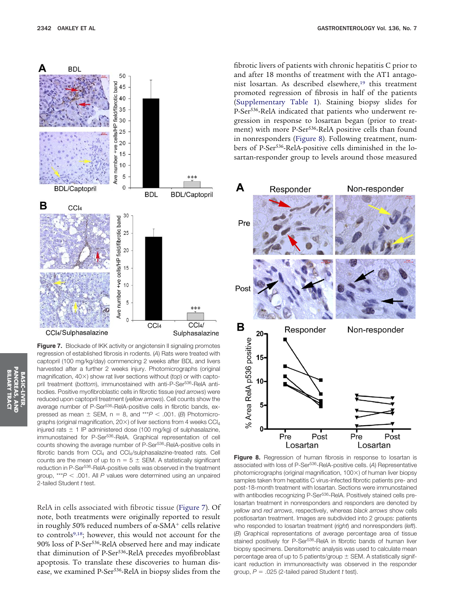

**Figure 7.** Blockade of IKK activity or angiotensin II signaling promotes regression of established fibrosis in rodents. (*A*) Rats were treated with captopril (100 mg/kg/day) commencing 2 weeks after BDL and livers harvested after a further 2 weeks injury. Photomicrographs (original magnification, 40 $\times$ ) show rat liver sections without (*top*) or with captopril treatment (bottom), immunostained with anti-P-Ser<sup>536</sup>-RelA antibodies. Positive myofibroblastic cells in fibrotic tissue (*red arrows*) were reduced upon captopril treatment (*yellow arrows*). Cell counts show the average number of P-Ser<sup>536</sup>-RelA-positive cells in fibrotic bands, expressed as mean  $\pm$  SEM, n = 8, and \*\*\* $P$  < .001. (*B*) Photomicrographs (original magnification,  $20\times$ ) of liver sections from 4 weeks CCl<sub>4</sub> injured rats  $\pm$  1 IP administered dose (100 mg/kg) of sulphasalazine, immunostained for P-Ser<sup>536</sup>-RelA. Graphical representation of cell counts showing the average number of P-Ser<sup>536</sup>-RelA-positive cells in fibrotic bands from  $CCI<sub>4</sub>$  and  $CCI<sub>4</sub>/sulphasalazine-treated rats. Cell$ counts are the mean of up to  $n = 5 \pm$  SEM. A statistically significant reduction in P-Ser<sup>536</sup>-RelA-positive cells was observed in the treatment group, \*\*\**P* .001. All *P* values were determined using an unpaired 2-tailed Student *t* test.

RelA in cells associated with fibrotic tissue (Figure 7). Of note, both treatments were originally reported to result in roughly 50% reduced numbers of  $\alpha$ -SMA $^+$  cells relative to controls9,18; however, this would not account for the 90% loss of P-Ser536-RelA observed here and may indicate that diminution of P-Ser<sup>536</sup>-RelA precedes myofibroblast apoptosis. To translate these discoveries to human disease, we examined P-Ser536-RelA in biopsy slides from the

fibrotic livers of patients with chronic hepatitis C prior to and after 18 months of treatment with the AT1 antagonist losartan. As described elsewhere,<sup>19</sup> this treatment promoted regression of fibrosis in half of the patients (Supplementary Table 1). Staining biopsy slides for P-Ser536-RelA indicated that patients who underwent regression in response to losartan began (prior to treatment) with more P-Ser<sup>536</sup>-RelA positive cells than found in nonresponders (Figure 8). Following treatment, numbers of P-Ser536-RelA-positive cells diminished in the losartan-responder group to levels around those measured



**Figure 8.** Regression of human fibrosis in response to losartan is associated with loss of P-Ser536-RelA-positive cells. (*A*) Representative photomicrographs (original magnification,  $100\times$ ) of human liver biopsy samples taken from hepatitis C virus-infected fibrotic patients pre- and post-18-month treatment with losartan. Sections were immunostained with antibodies recognizing P-Ser<sup>536</sup>-RelA. Positively stained cells prelosartan treatment in nonresponders and responders are denoted by *yellow* and *red arrows*, respectively, whereas *black arrows* show cells postlosartan treatment. Images are subdivided into 2 groups: patients who responded to losartan treatment (*right*) and nonresponders (*left*). (*B*) Graphical representations of average percentage area of tissue stained positively for P-Ser<sup>536</sup>-RelA in fibrotic bands of human liver biopsy specimens. Densitometric analysis was used to calculate mean percentage area of up to 5 patients/group  $\pm$  SEM. A statistically significant reduction in immunoreactivity was observed in the responder group, *P* .025 (2-tailed paired Student *t* test).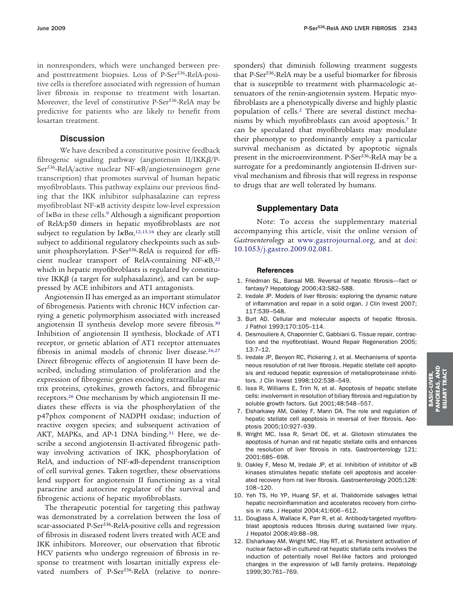in nonresponders, which were unchanged between preand posttreatment biopsies. Loss of P-Ser<sup>536</sup>-RelA-positive cells is therefore associated with regression of human liver fibrosis in response to treatment with losartan. Moreover, the level of constitutive P-Ser<sup>536</sup>-RelA may be predictive for patients who are likely to benefit from losartan treatment.

# **Discussion**

We have described a constitutive positive feedback fibrogenic signaling pathway (angiotensin  $II/IKK\beta/P$ -Ser<sup>536</sup>-RelA/active nuclear NF-<sub>KB</sub>/angiotensinogen gene transcription) that promotes survival of human hepatic myofibroblasts. This pathway explains our previous finding that the IKK inhibitor sulphasalazine can repress myofibroblast NF-KB activity despite low-level expression of I $\kappa$ B $\alpha$  in these cells.<sup>9</sup> Although a significant proportion of RelA:p50 dimers in hepatic myofibroblasts are not subject to regulation by  $I\kappa B\alpha$ ,<sup>12,15,16</sup> they are clearly still subject to additional regulatory checkpoints such as subunit phosphorylation. P-Ser<sup>536</sup>-RelA is required for efficient nuclear transport of RelA-containing NF- $\kappa$ B,<sup>22</sup> which in hepatic myofibroblasts is regulated by constitutive IKK $\beta$  (a target for sulphasalazine), and can be suppressed by ACE inhibitors and AT1 antagonists.

Angiotensin II has emerged as an important stimulator of fibrogenesis. Patients with chronic HCV infection carrying a genetic polymorphism associated with increased angiotensin II synthesis develop more severe fibrosis.30 Inhibition of angiotensin II synthesis, blockade of AT1 receptor, or genetic ablation of AT1 receptor attenuates fibrosis in animal models of chronic liver disease.<sup>26,27</sup> Direct fibrogenic effects of angiotensin II have been described, including stimulation of proliferation and the expression of fibrogenic genes encoding extracellular matrix proteins, cytokines, growth factors, and fibrogenic receptors.26 One mechanism by which angiotensin II mediates these effects is via the phosphorylation of the p47phox component of NADPH oxidase; induction of reactive oxygen species; and subsequent activation of AKT, MAPKs, and AP-1 DNA binding.<sup>31</sup> Here, we describe a second angiotensin II-activated fibrogenic pathway involving activation of IKK, phosphorylation of RelA, and induction of NF-KB-dependent transcription of cell survival genes. Taken together, these observations lend support for angiotensin II functioning as a vital paracrine and autocrine regulator of the survival and fibrogenic actions of hepatic myofibroblasts.

The therapeutic potential for targeting this pathway was demonstrated by a correlation between the loss of scar-associated P-Ser<sup>536</sup>-RelA-positive cells and regression of fibrosis in diseased rodent livers treated with ACE and IKK inhibitors. Moreover, our observation that fibrotic HCV patients who undergo regression of fibrosis in response to treatment with losartan initially express elevated numbers of P-Ser<sup>536</sup>-RelA (relative to nonresponders) that diminish following treatment suggests that P-Ser<sup>536</sup>-RelA may be a useful biomarker for fibrosis that is susceptible to treatment with pharmacologic attenuators of the renin-angiotensin system. Hepatic myofibroblasts are a phenotypically diverse and highly plastic population of cells.2 There are several distinct mechanisms by which myofibroblasts can avoid apoptosis.7 It can be speculated that myofibroblasts may modulate their phenotype to predominantly employ a particular survival mechanism as dictated by apoptotic signals present in the microenvironment. P-Ser<sup>536</sup>-RelA may be a surrogate for a predominantly angiotensin II-driven survival mechanism and fibrosis that will regress in response to drugs that are well tolerated by humans.

# **Supplementary Data**

Note: To access the supplementary material accompanying this article, visit the online version of *Gastroenterology* at [www.gastrojournal.org,](http://www.gastrojournal.org) and at [doi:](http://dx.doi.org/10.1053/j.gastro.2009.02.081) [10.1053/j.gastro.2009.02.081.](http://dx.doi.org/10.1053/j.gastro.2009.02.081)

#### **References**

- 1. Friedman SL, Bansal MB. Reversal of hepatic fibrosis—fact or fantasy? Hepatology 2006;43:S82–S88.
- 2. Iredale JP. Models of liver fibrosis: exploring the dynamic nature of inflammation and repair in a solid organ. J Clin Invest 2007; 117:539 –548.
- 3. Burt AD. Cellular and molecular aspects of hepatic fibrosis. J Pathol 1993;170:105–114.
- 4. Desmouliere A, Chaponnier C, Gabbiani G. Tissue repair, contraction and the myofibroblast. Wound Repair Regeneration 2005; 13:7–12.
- 5. Iredale JP, Benyon RC, Pickering J, et al. Mechanisms of spontaneous resolution of rat liver fibrosis. Hepatic stellate cell apoptosis and reduced hepatic expression of metalloproteinase inhibitors. J Clin Invest 1998;102:538 –549.
- 6. Issa R, Williams E, Trim N, et al. Apoptosis of hepatic stellate cells: involvement in resolution of biliary fibrosis and regulation by soluble growth factors. Gut 2001;48:548 –557.
- 7. Elsharkawy AM, Oakley F, Mann DA. The role and regulation of hepatic stellate cell apoptosis in reversal of liver fibrosis. Apoptosis 2005;10:927–939.
- 8. Wright MC, Issa R, Smart DE, et al. Gliotoxin stimulates the apoptosis of human and rat hepatic stellate cells and enhances the resolution of liver fibrosis in rats. Gastroenterology 121; 2001:685– 698.
- 9. Oakley F, Meso M, Iredale JP, et al. Inhibition of inhibitor of  $\kappa$ B kinases stimulates hepatic stellate cell apoptosis and accelerated recovery from rat liver fibrosis. Gastroenterology 2005;128: 108 –120.
- 10. Yeh TS, Ho YP, Huang SF, et al. Thalidomide salvages lethal hepatic necroinflammation and accelerates recovery from cirrhosis in rats. J Hepatol 2004;41:606 – 612.
- 11. Douglass A, Wallace K, Parr R, et al. Antibody-targeted myofibroblast apoptosis reduces fibrosis during sustained liver injury. J Hepatol 2008;49:88 –98.
- 12. Elsharkawy AM, Wright MC, Hay RT, et al. Persistent activation of nuclear factor- $\kappa$ B in cultured rat hepatic stellate cells involves the induction of potentially novel Rel-like factors and prolonged changes in the expression of  $I\kappa B$  family proteins. Hepatology 1999;30:761–769.